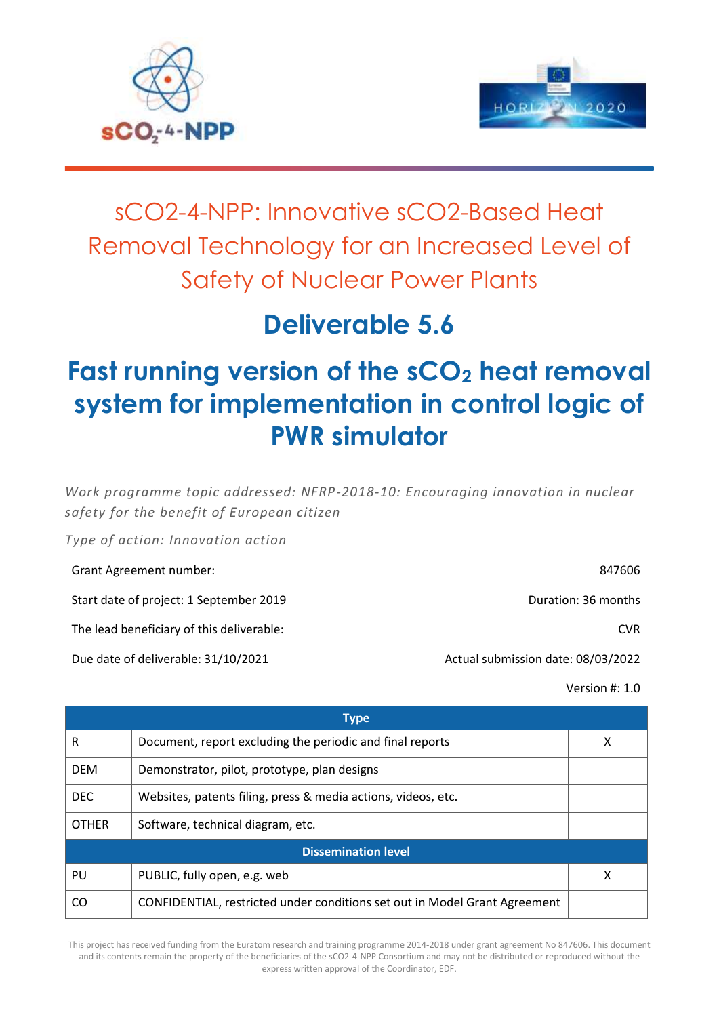



## sCO2-4-NPP: Innovative sCO2-Based Heat Removal Technology for an Increased Level of Safety of Nuclear Power Plants

## **Deliverable 5.6**

# **Fast running version of the sCO<sup>2</sup> heat removal system for implementation in control logic of PWR simulator**

*Work programme topic addressed: NFRP-2018-10: Encouraging innovation in nuclear safety for the benefit of European citizen*

*Type of action: Innovation action*

| Grant Agreement number:                   | 847606                             |
|-------------------------------------------|------------------------------------|
| Start date of project: 1 September 2019   | Duration: 36 months                |
| The lead beneficiary of this deliverable: | CVR.                               |
| Due date of deliverable: 31/10/2021       | Actual submission date: 08/03/2022 |

Version #: 1.0

| <b>Type</b>  |                                                                            |   |
|--------------|----------------------------------------------------------------------------|---|
| R            | Document, report excluding the periodic and final reports                  | X |
| <b>DEM</b>   | Demonstrator, pilot, prototype, plan designs                               |   |
| <b>DEC</b>   | Websites, patents filing, press & media actions, videos, etc.              |   |
| <b>OTHER</b> | Software, technical diagram, etc.                                          |   |
|              | <b>Dissemination level</b>                                                 |   |
| PU           | PUBLIC, fully open, e.g. web                                               | х |
| CO           | CONFIDENTIAL, restricted under conditions set out in Model Grant Agreement |   |

This project has received funding from the Euratom research and training programme 2014-2018 under grant agreement No 847606. This document and its contents remain the property of the beneficiaries of the sCO2-4-NPP Consortium and may not be distributed or reproduced without the express written approval of the Coordinator, EDF.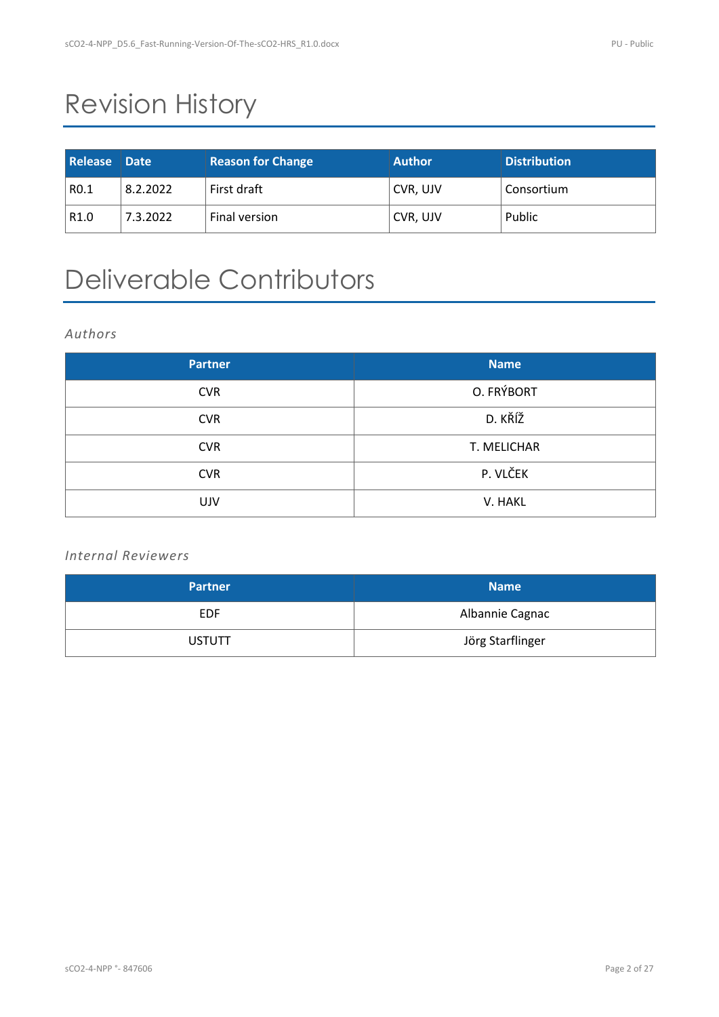# Revision History

| Release Date     |          | <b>Reason for Change</b>   | <b>Author</b> | <b>Distribution</b> |
|------------------|----------|----------------------------|---------------|---------------------|
| R <sub>0.1</sub> | 8.2.2022 | First draft                | CVR, UJV      | Consortium          |
| R <sub>1.0</sub> | 7.3.2022 | <sup>'</sup> Final version | CVR, UJV      | Public              |

## Deliverable Contributors

#### *Authors*

| <b>Partner</b> | <b>Name</b> |
|----------------|-------------|
| <b>CVR</b>     | O. FRÝBORT  |
| <b>CVR</b>     | D. KŘÍŽ     |
| <b>CVR</b>     | T. MELICHAR |
| <b>CVR</b>     | P. VLČEK    |
| <b>UJV</b>     | V. HAKL     |

### *Internal Reviewers*

| <b>Partner</b> | <b>Name</b>      |
|----------------|------------------|
| <b>EDF</b>     | Albannie Cagnac  |
| <b>USTUTT</b>  | Jörg Starflinger |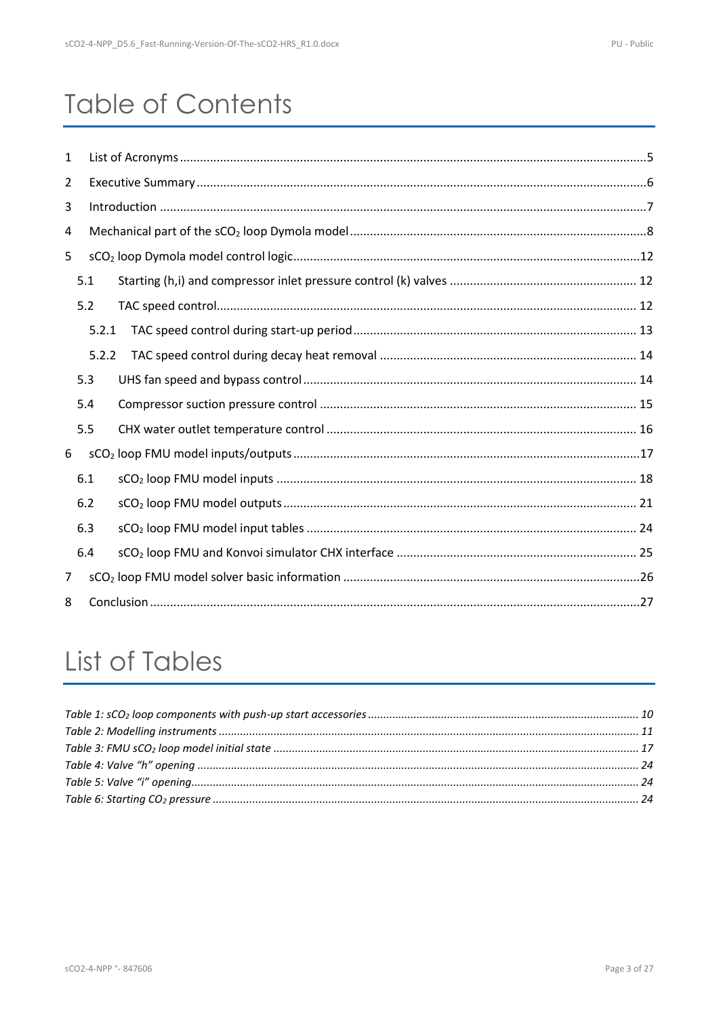## **Table of Contents**

| $\mathbf{1}$ |     |       |  |  |  |  |
|--------------|-----|-------|--|--|--|--|
| 2            |     |       |  |  |  |  |
| 3            |     |       |  |  |  |  |
| 4            |     |       |  |  |  |  |
| 5            |     |       |  |  |  |  |
|              | 5.1 |       |  |  |  |  |
|              | 5.2 |       |  |  |  |  |
|              |     | 5.2.1 |  |  |  |  |
|              |     | 5.2.2 |  |  |  |  |
|              | 5.3 |       |  |  |  |  |
|              | 5.4 |       |  |  |  |  |
|              | 5.5 |       |  |  |  |  |
| 6            |     |       |  |  |  |  |
|              | 6.1 |       |  |  |  |  |
|              | 6.2 |       |  |  |  |  |
|              | 6.3 |       |  |  |  |  |
|              | 6.4 |       |  |  |  |  |
| 7            |     |       |  |  |  |  |
| 8            |     |       |  |  |  |  |

# List of Tables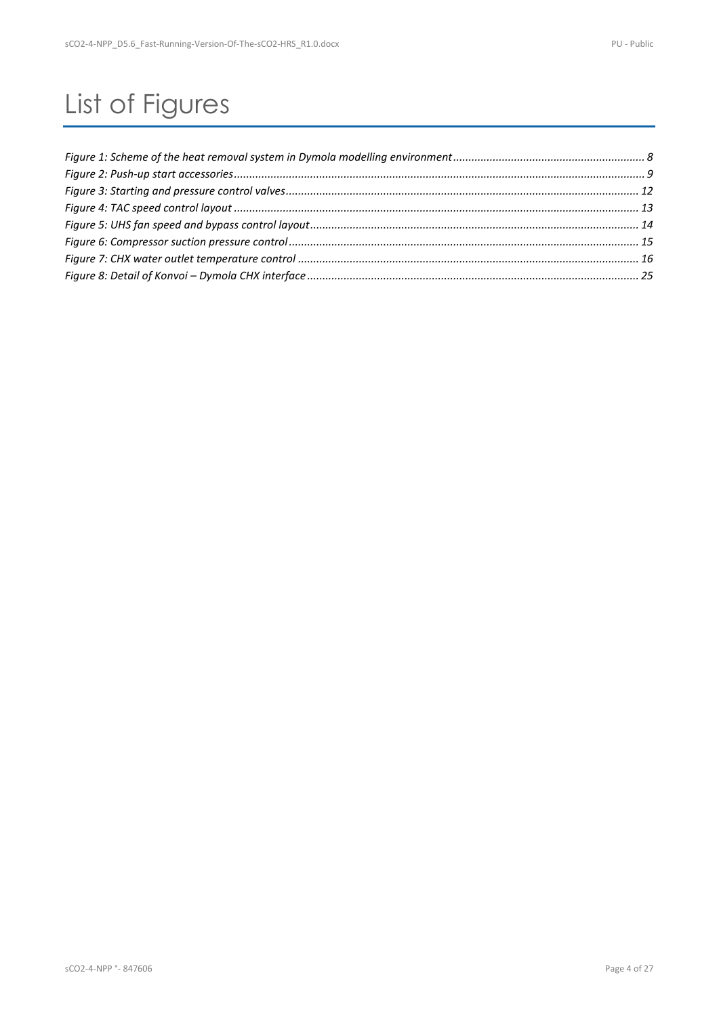# List of Figures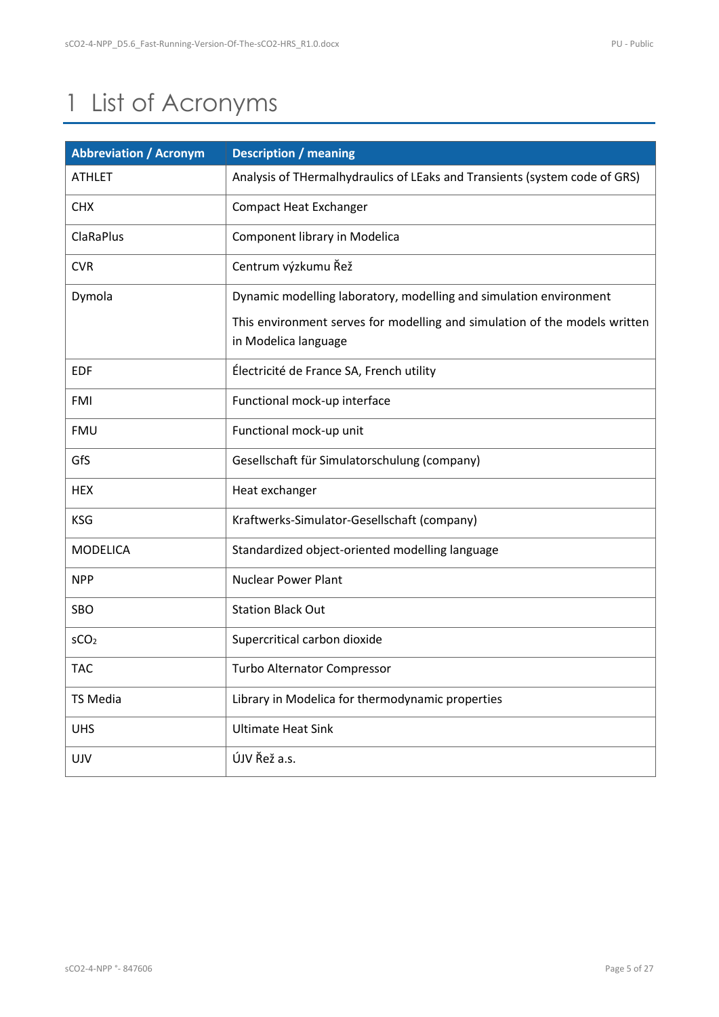## <span id="page-4-0"></span>1 List of Acronyms

| <b>Abbreviation / Acronym</b> | <b>Description / meaning</b>                                                                       |
|-------------------------------|----------------------------------------------------------------------------------------------------|
| <b>ATHLET</b>                 | Analysis of THermalhydraulics of LEaks and Transients (system code of GRS)                         |
| <b>CHX</b>                    | <b>Compact Heat Exchanger</b>                                                                      |
| <b>ClaRaPlus</b>              | Component library in Modelica                                                                      |
| <b>CVR</b>                    | Centrum výzkumu Řež                                                                                |
| Dymola                        | Dynamic modelling laboratory, modelling and simulation environment                                 |
|                               | This environment serves for modelling and simulation of the models written<br>in Modelica language |
| <b>EDF</b>                    | Électricité de France SA, French utility                                                           |
| <b>FMI</b>                    | Functional mock-up interface                                                                       |
| <b>FMU</b>                    | Functional mock-up unit                                                                            |
| GfS                           | Gesellschaft für Simulatorschulung (company)                                                       |
| <b>HEX</b>                    | Heat exchanger                                                                                     |
| <b>KSG</b>                    | Kraftwerks-Simulator-Gesellschaft (company)                                                        |
| <b>MODELICA</b>               | Standardized object-oriented modelling language                                                    |
| <b>NPP</b>                    | <b>Nuclear Power Plant</b>                                                                         |
| SBO                           | <b>Station Black Out</b>                                                                           |
| SCO <sub>2</sub>              | Supercritical carbon dioxide                                                                       |
| <b>TAC</b>                    | Turbo Alternator Compressor                                                                        |
| <b>TS Media</b>               | Library in Modelica for thermodynamic properties                                                   |
| <b>UHS</b>                    | <b>Ultimate Heat Sink</b>                                                                          |
| <b>UJV</b>                    | ÚJV Řež a.s.                                                                                       |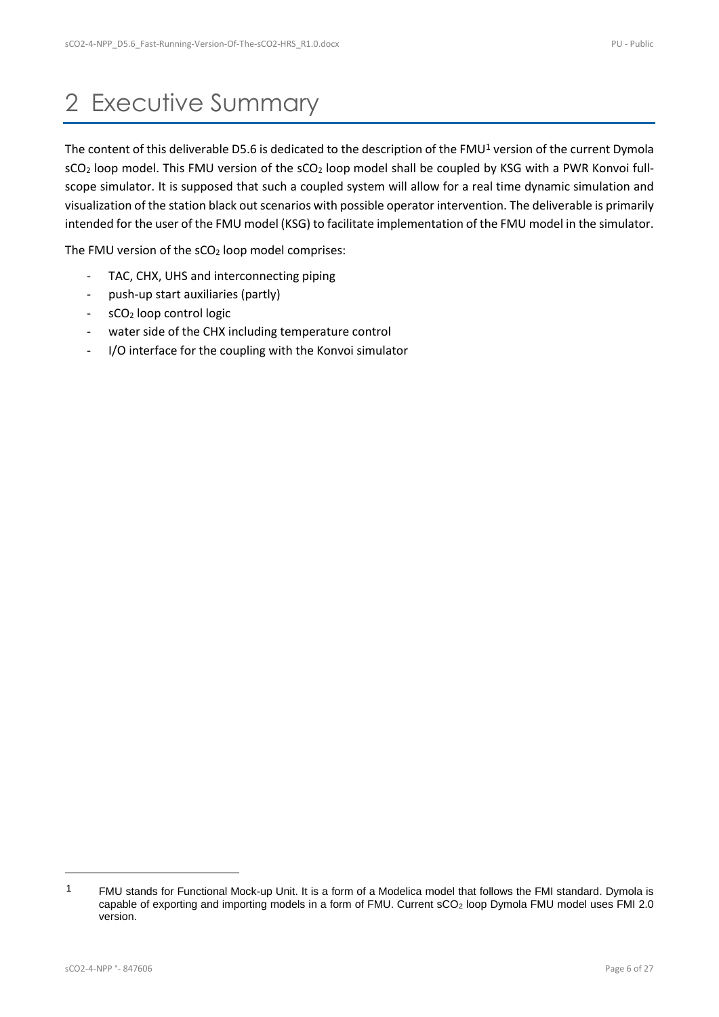### <span id="page-5-0"></span>2 Executive Summary

The content of this deliverable D5.6 is dedicated to the description of the FMU<sup>1</sup> version of the current Dymola  $sCO<sub>2</sub>$  loop model. This FMU version of the  $sCO<sub>2</sub>$  loop model shall be coupled by KSG with a PWR Konvoi fullscope simulator. It is supposed that such a coupled system will allow for a real time dynamic simulation and visualization of the station black out scenarios with possible operator intervention. The deliverable is primarily intended for the user of the FMU model (KSG) to facilitate implementation of the FMU model in the simulator.

The FMU version of the  $SCO<sub>2</sub>$  loop model comprises:

- TAC, CHX, UHS and interconnecting piping
- push-up start auxiliaries (partly)
- sCO<sub>2</sub> loop control logic
- water side of the CHX including temperature control
- I/O interface for the coupling with the Konvoi simulator

<sup>&</sup>lt;sup>1</sup> FMU stands for Functional Mock-up Unit. It is a form of a Modelica model that follows the FMI standard. Dymola is capable of exporting and importing models in a form of FMU. Current sCO<sub>2</sub> loop Dymola FMU model uses FMI 2.0 version.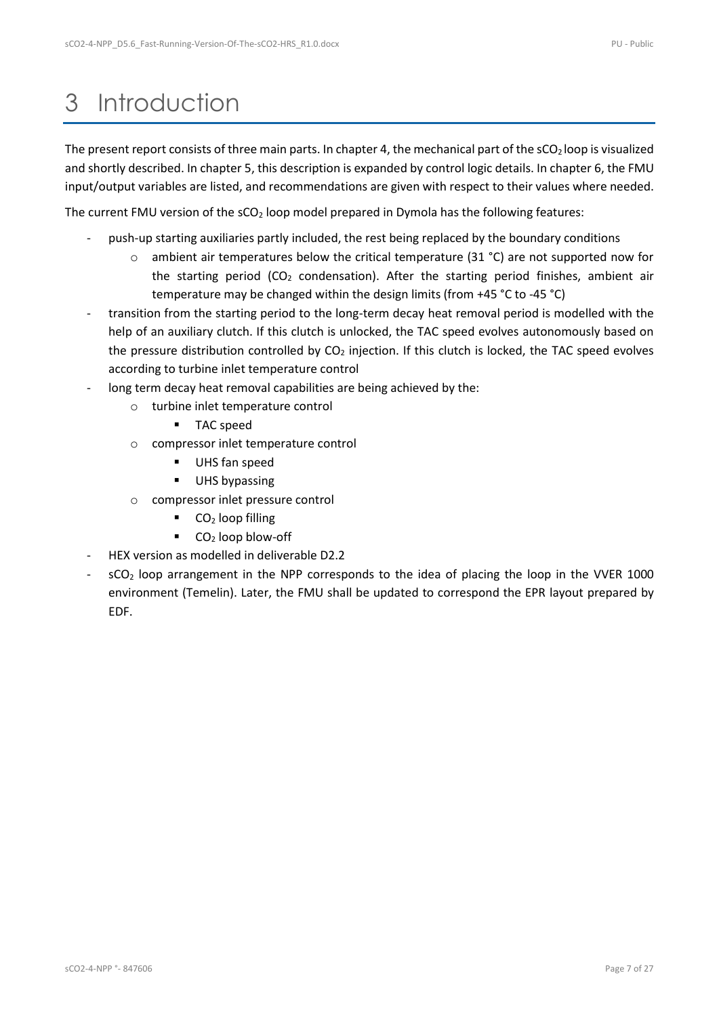## <span id="page-6-0"></span>3 Introduction

The present report consists of three main parts. In chapter [4,](#page-7-0) the mechanical part of the  $sCO<sub>2</sub>$  loop is visualized and shortly described. In chapter [5,](#page-11-0) this description is expanded by control logic details. In chapter [6,](#page-16-0) the FMU input/output variables are listed, and recommendations are given with respect to their values where needed.

The current FMU version of the  $SCO<sub>2</sub>$  loop model prepared in Dymola has the following features:

- push-up starting auxiliaries partly included, the rest being replaced by the boundary conditions
	- $\circ$  ambient air temperatures below the critical temperature (31 °C) are not supported now for the starting period ( $CO<sub>2</sub>$  condensation). After the starting period finishes, ambient air temperature may be changed within the design limits (from +45 °C to -45 °C)
- transition from the starting period to the long-term decay heat removal period is modelled with the help of an auxiliary clutch. If this clutch is unlocked, the TAC speed evolves autonomously based on the pressure distribution controlled by  $CO<sub>2</sub>$  injection. If this clutch is locked, the TAC speed evolves according to turbine inlet temperature control
- long term decay heat removal capabilities are being achieved by the:
	- o turbine inlet temperature control
		- TAC speed
	- o compressor inlet temperature control
		- UHS fan speed
		- UHS bypassing
	- o compressor inlet pressure control
		- $\bullet$  CO<sub>2</sub> loop filling
		- $\bullet$  CO<sub>2</sub> loop blow-off
- HEX version as modelled in deliverable D2.2
- sCO<sub>2</sub> loop arrangement in the NPP corresponds to the idea of placing the loop in the VVER 1000 environment (Temelin). Later, the FMU shall be updated to correspond the EPR layout prepared by EDF.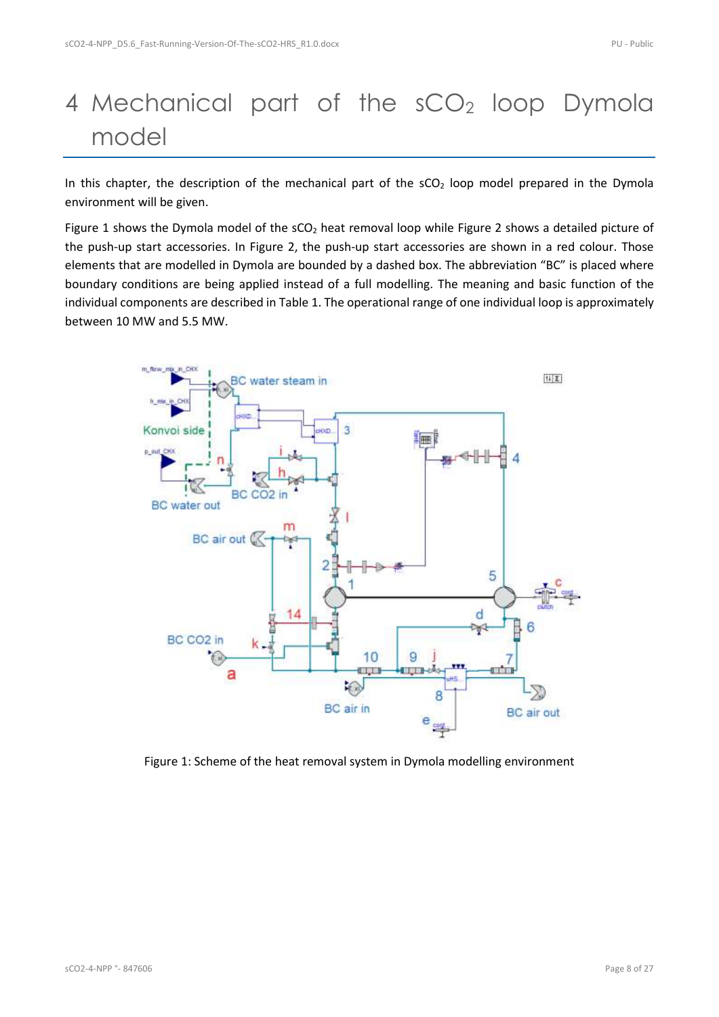## <span id="page-7-0"></span>4 Mechanical part of the sCO<sub>2</sub> loop Dymola model

In this chapter, the description of the mechanical part of the  $SCO<sub>2</sub>$  loop model prepared in the Dymola environment will be given.

[Figure 1](#page-7-1) shows the Dymola model of the sCO<sub>2</sub> heat removal loop while [Figure 2](#page-8-0) shows a detailed picture of the push-up start accessories. In [Figure 2,](#page-8-0) the push-up start accessories are shown in a red colour. Those elements that are modelled in Dymola are bounded by a dashed box. The abbreviation "BC" is placed where boundary conditions are being applied instead of a full modelling. The meaning and basic function of the individual components are described in [Table 1.](#page-9-0) The operational range of one individual loop is approximately between 10 MW and 5.5 MW.



<span id="page-7-1"></span>Figure 1: Scheme of the heat removal system in Dymola modelling environment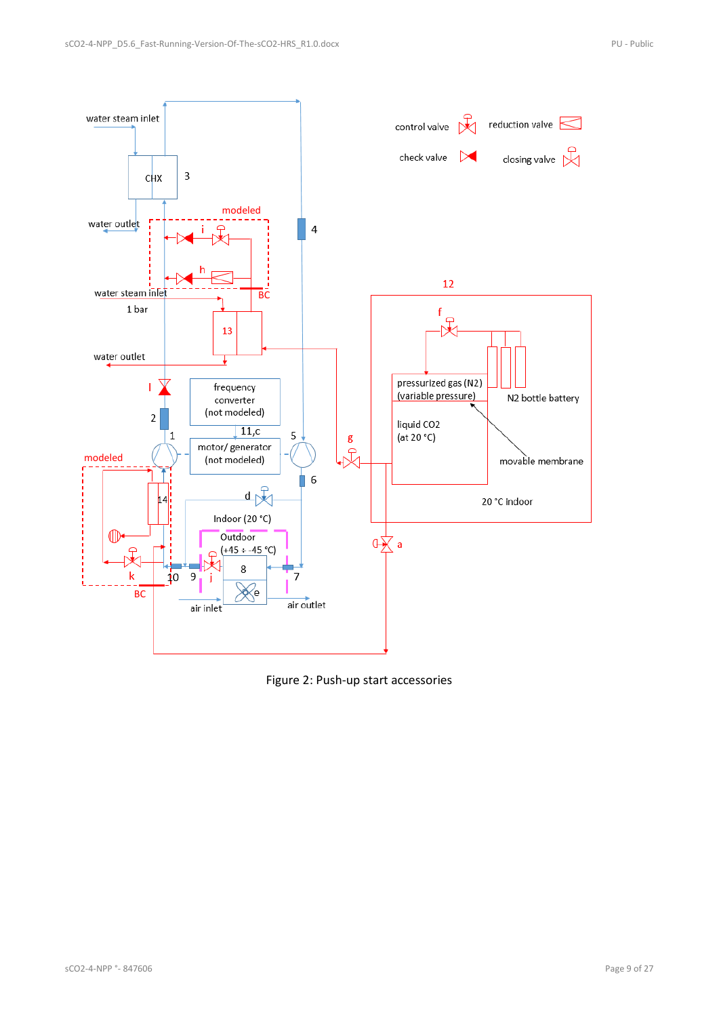

<span id="page-8-0"></span>Figure 2: Push-up start accessories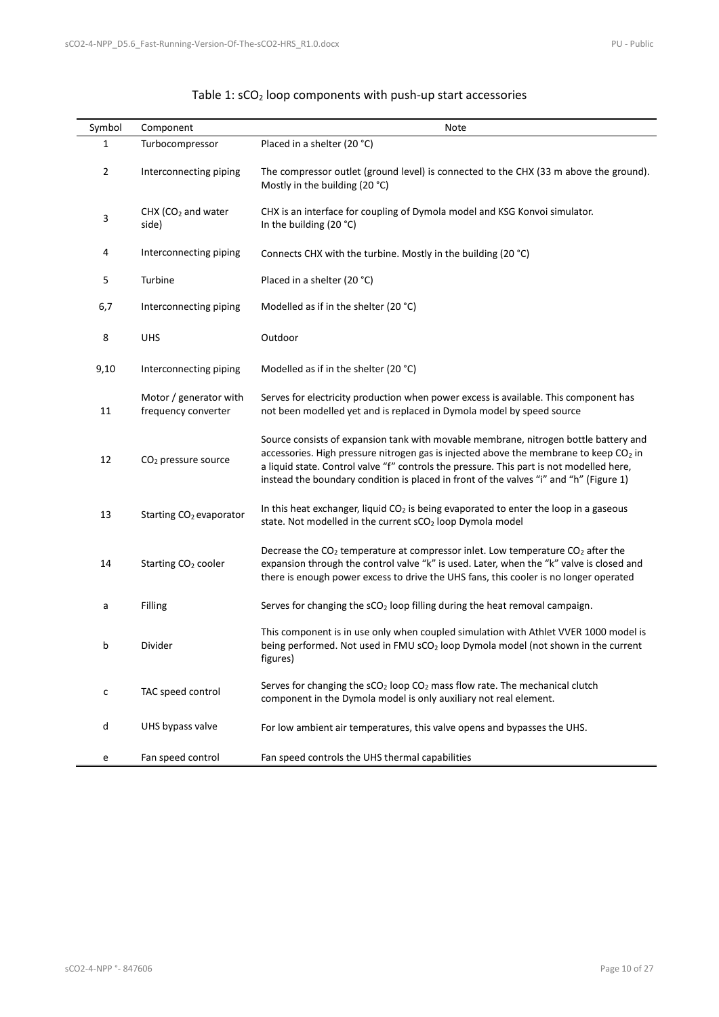<span id="page-9-0"></span>

| Symbol         | Component                                     | Note                                                                                                                                                                                                                                                                                                                                                                            |  |
|----------------|-----------------------------------------------|---------------------------------------------------------------------------------------------------------------------------------------------------------------------------------------------------------------------------------------------------------------------------------------------------------------------------------------------------------------------------------|--|
| 1              | Turbocompressor                               | Placed in a shelter (20 °C)                                                                                                                                                                                                                                                                                                                                                     |  |
| $\overline{2}$ | Interconnecting piping                        | The compressor outlet (ground level) is connected to the CHX (33 m above the ground).<br>Mostly in the building (20 °C)                                                                                                                                                                                                                                                         |  |
| 3              | CHX $(CO2$ and water<br>side)                 | CHX is an interface for coupling of Dymola model and KSG Konvoi simulator.<br>In the building $(20 °C)$                                                                                                                                                                                                                                                                         |  |
| 4              | Interconnecting piping                        | Connects CHX with the turbine. Mostly in the building (20 °C)                                                                                                                                                                                                                                                                                                                   |  |
| 5              | Turbine                                       | Placed in a shelter (20 °C)                                                                                                                                                                                                                                                                                                                                                     |  |
| 6,7            | Interconnecting piping                        | Modelled as if in the shelter (20 °C)                                                                                                                                                                                                                                                                                                                                           |  |
| 8              | <b>UHS</b>                                    | Outdoor                                                                                                                                                                                                                                                                                                                                                                         |  |
| 9,10           | Interconnecting piping                        | Modelled as if in the shelter (20 °C)                                                                                                                                                                                                                                                                                                                                           |  |
| 11             | Motor / generator with<br>frequency converter | Serves for electricity production when power excess is available. This component has<br>not been modelled yet and is replaced in Dymola model by speed source                                                                                                                                                                                                                   |  |
| 12             | CO <sub>2</sub> pressure source               | Source consists of expansion tank with movable membrane, nitrogen bottle battery and<br>accessories. High pressure nitrogen gas is injected above the membrane to keep CO <sub>2</sub> in<br>a liquid state. Control valve "f" controls the pressure. This part is not modelled here,<br>instead the boundary condition is placed in front of the valves "i" and "h" (Figure 1) |  |
| 13             | Starting CO <sub>2</sub> evaporator           | In this heat exchanger, liquid $CO2$ is being evaporated to enter the loop in a gaseous<br>state. Not modelled in the current sCO <sub>2</sub> loop Dymola model                                                                                                                                                                                                                |  |
| 14             | Starting CO <sub>2</sub> cooler               | Decrease the $CO2$ temperature at compressor inlet. Low temperature $CO2$ after the<br>expansion through the control valve "k" is used. Later, when the "k" valve is closed and<br>there is enough power excess to drive the UHS fans, this cooler is no longer operated                                                                                                        |  |
| a              | Filling                                       | Serves for changing the sCO <sub>2</sub> loop filling during the heat removal campaign.                                                                                                                                                                                                                                                                                         |  |
| b              | Divider                                       | This component is in use only when coupled simulation with Athlet VVER 1000 model is<br>being performed. Not used in FMU sCO <sub>2</sub> loop Dymola model (not shown in the current<br>figures)                                                                                                                                                                               |  |
| с              | TAC speed control                             | Serves for changing the $sCO2$ loop $CO2$ mass flow rate. The mechanical clutch<br>component in the Dymola model is only auxiliary not real element.                                                                                                                                                                                                                            |  |
| d              | UHS bypass valve                              | For low ambient air temperatures, this valve opens and bypasses the UHS.                                                                                                                                                                                                                                                                                                        |  |
| e              | Fan speed control                             | Fan speed controls the UHS thermal capabilities                                                                                                                                                                                                                                                                                                                                 |  |

#### Table 1: sCO<sub>2</sub> loop components with push-up start accessories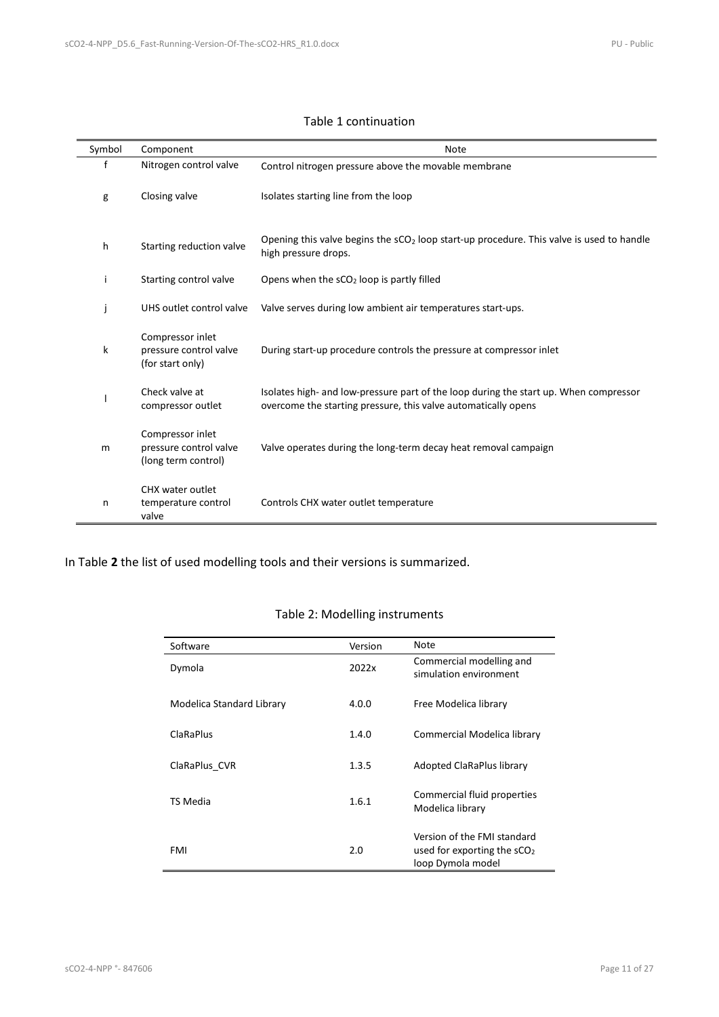#### Table 1 continuation

| Symbol | Component                                                         | <b>Note</b>                                                                                                                                             |
|--------|-------------------------------------------------------------------|---------------------------------------------------------------------------------------------------------------------------------------------------------|
| f      | Nitrogen control valve                                            | Control nitrogen pressure above the movable membrane                                                                                                    |
| g      | Closing valve                                                     | Isolates starting line from the loop                                                                                                                    |
| h      | Starting reduction valve                                          | Opening this valve begins the $sCO2$ loop start-up procedure. This valve is used to handle<br>high pressure drops.                                      |
| i      | Starting control valve                                            | Opens when the sCO <sub>2</sub> loop is partly filled                                                                                                   |
| j      | UHS outlet control valve                                          | Valve serves during low ambient air temperatures start-ups.                                                                                             |
| k      | Compressor inlet<br>pressure control valve<br>(for start only)    | During start-up procedure controls the pressure at compressor inlet                                                                                     |
|        | Check valve at<br>compressor outlet                               | Isolates high- and low-pressure part of the loop during the start up. When compressor<br>overcome the starting pressure, this valve automatically opens |
| m      | Compressor inlet<br>pressure control valve<br>(long term control) | Valve operates during the long-term decay heat removal campaign                                                                                         |
| n      | CHX water outlet<br>temperature control<br>valve                  | Controls CHX water outlet temperature                                                                                                                   |

<span id="page-10-0"></span>In [Table](#page-10-0) **2** the list of used modelling tools and their versions is summarized.

#### Table 2: Modelling instruments

| Software                  | Version | Note                                                                              |
|---------------------------|---------|-----------------------------------------------------------------------------------|
| Dymola                    | 2022x   | Commercial modelling and<br>simulation environment                                |
| Modelica Standard Library | 4.0.0   | Free Modelica library                                                             |
| <b>ClaRaPlus</b>          | 1.4.0   | Commercial Modelica library                                                       |
| ClaRaPlus CVR             | 1.3.5   | Adopted ClaRaPlus library                                                         |
| TS Media                  | 1.6.1   | Commercial fluid properties<br>Modelica library                                   |
| FMI                       | 2.0     | Version of the FMI standard<br>used for exporting the $sCO2$<br>loop Dymola model |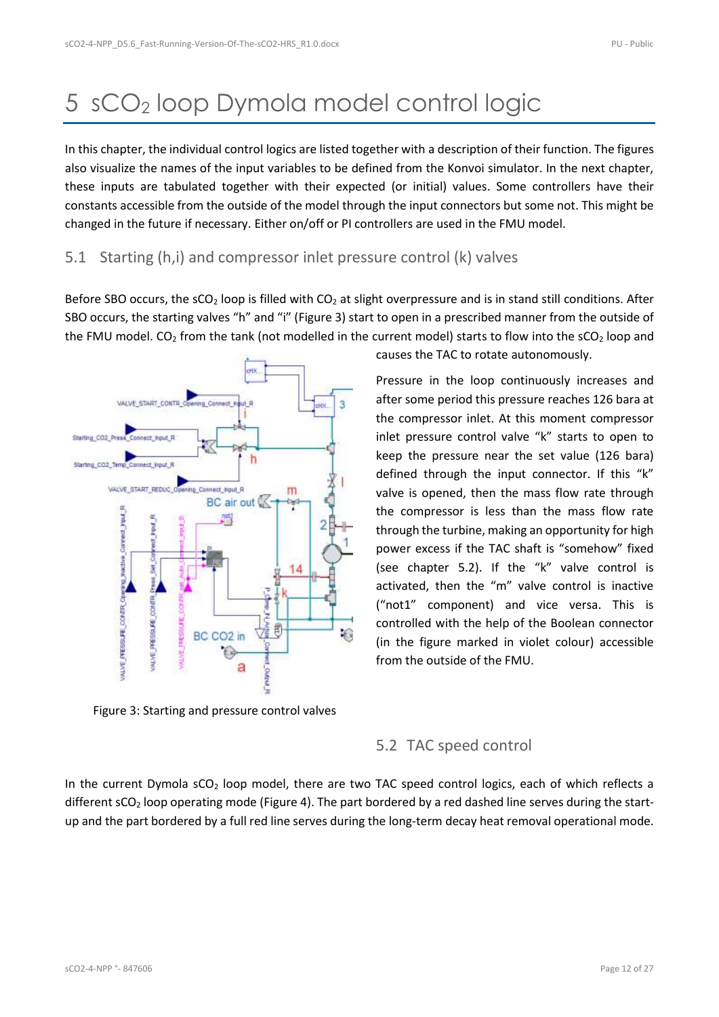## <span id="page-11-0"></span>5 sCO<sup>2</sup> loop Dymola model control logic

In this chapter, the individual control logics are listed together with a description of their function. The figures also visualize the names of the input variables to be defined from the Konvoi simulator. In the next chapter, these inputs are tabulated together with their expected (or initial) values. Some controllers have their constants accessible from the outside of the model through the input connectors but some not. This might be changed in the future if necessary. Either on/off or PI controllers are used in the FMU model.

### <span id="page-11-1"></span>5.1 Starting (h,i) and compressor inlet pressure control (k) valves

Before SBO occurs, the sCO<sub>2</sub> loop is filled with CO<sub>2</sub> at slight overpressure and is in stand still conditions. After SBO occurs, the starting valves "h" and "i" ([Figure 3\)](#page-11-3) start to open in a prescribed manner from the outside of the FMU model.  $CO_2$  from the tank (not modelled in the current model) starts to flow into the  $SCO_2$  loop and

<span id="page-11-4"></span>

<span id="page-11-3"></span>Figure 3: Starting and pressure control valves

causes the TAC to rotate autonomously.

Pressure in the loop continuously increases and after some period this pressure reaches 126 bara at the compressor inlet. At this moment compressor inlet pressure control valve "k" starts to open to keep the pressure near the set value (126 bara) defined through the input connector. If this "k" valve is opened, then the mass flow rate through the compressor is less than the mass flow rate through the turbine, making an opportunity for high power excess if the TAC shaft is "somehow" fixed (see chapter [5.2\)](#page-11-2). If the "k" valve control is activated, then the "m" valve control is inactive ("not1" component) and vice versa. This is controlled with the help of the Boolean connector (in the figure marked in violet colour) accessible from the outside of the FMU.

### <span id="page-11-2"></span>5.2 TAC speed control

In the current Dymola sCO<sub>2</sub> loop model, there are two TAC speed control logics, each of which reflects a different sCO<sub>2</sub> loop operating mode [\(Figure 4\)](#page-12-1). The part bordered by a red dashed line serves during the startup and the part bordered by a full red line serves during the long-term decay heat removal operational mode.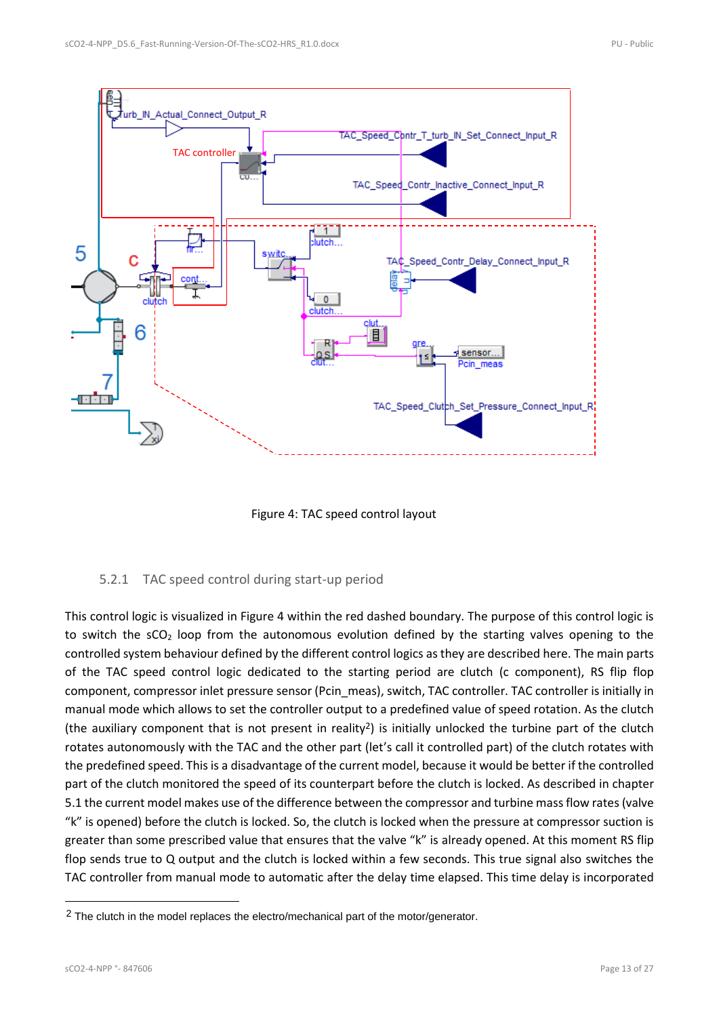<span id="page-12-2"></span>

Figure 4: TAC speed control layout

#### <span id="page-12-1"></span><span id="page-12-0"></span>5.2.1 TAC speed control during start-up period

This control logic is visualized in [Figure 4](#page-12-1) within the red dashed boundary. The purpose of this control logic is to switch the  $\text{CO}_2$  loop from the autonomous evolution defined by the starting valves opening to the controlled system behaviour defined by the different control logics as they are described here. The main parts of the TAC speed control logic dedicated to the starting period are clutch (c component), RS flip flop component, compressor inlet pressure sensor (Pcin\_meas), switch, TAC controller. TAC controller is initially in manual mode which allows to set the controller output to a predefined value of speed rotation. As the clutch (the auxiliary component that is not present in reality<sup>2</sup>) is initially unlocked the turbine part of the clutch rotates autonomously with the TAC and the other part (let's call it controlled part) of the clutch rotates with the predefined speed. This is a disadvantage of the current model, because it would be better if the controlled part of the clutch monitored the speed of its counterpart before the clutch is locked. As described in chapter [5.1](#page-11-1) the current model makes use of the difference between the compressor and turbine mass flow rates(valve "k" is opened) before the clutch is locked. So, the clutch is locked when the pressure at compressor suction is greater than some prescribed value that ensures that the valve "k" is already opened. At this moment RS flip flop sends true to Q output and the clutch is locked within a few seconds. This true signal also switches the TAC controller from manual mode to automatic after the delay time elapsed. This time delay is incorporated

<sup>&</sup>lt;sup>2</sup> The clutch in the model replaces the electro/mechanical part of the motor/generator.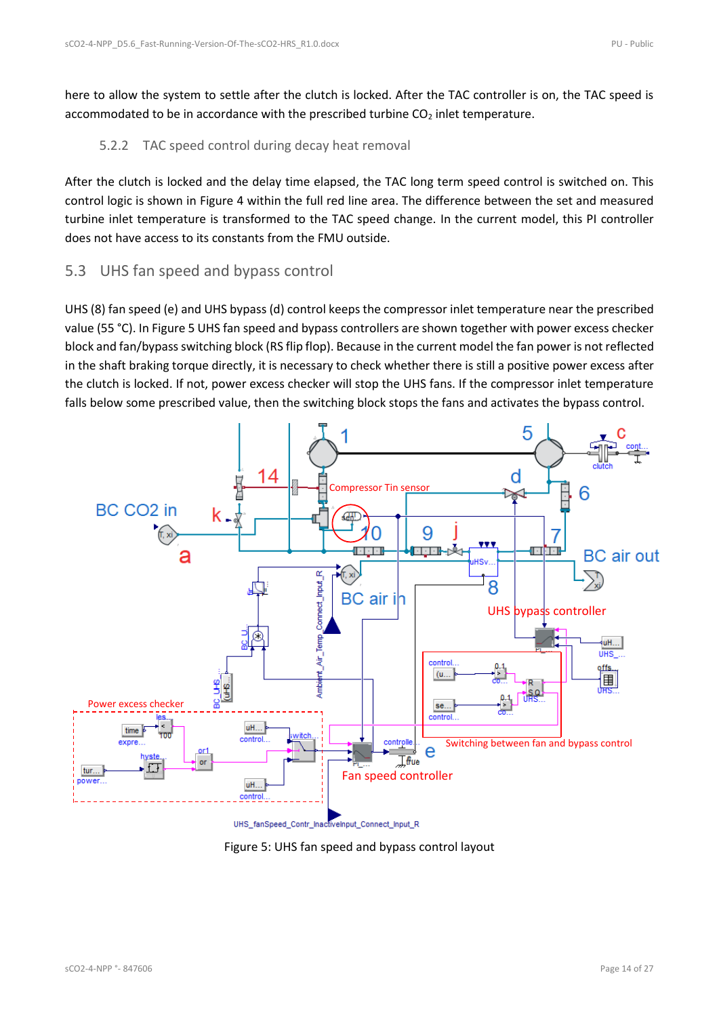here to allow the system to settle after the clutch is locked. After the TAC controller is on, the TAC speed is accommodated to be in accordance with the prescribed turbine  $CO<sub>2</sub>$  inlet temperature.

#### <span id="page-13-0"></span>5.2.2 TAC speed control during decay heat removal

After the clutch is locked and the delay time elapsed, the TAC long term speed control is switched on. This control logic is shown in [Figure 4](#page-12-1) within the full red line area. The difference between the set and measured turbine inlet temperature is transformed to the TAC speed change. In the current model, this PI controller does not have access to its constants from the FMU outside.

### <span id="page-13-1"></span>5.3 UHS fan speed and bypass control

UHS (8) fan speed (e) and UHS bypass (d) control keeps the compressor inlet temperature near the prescribed value (55 °C). I[n Figure 5](#page-13-2) UHS fan speed and bypass controllers are shown together with power excess checker block and fan/bypass switching block (RS flip flop). Because in the current model the fan power is not reflected in the shaft braking torque directly, it is necessary to check whether there is still a positive power excess after the clutch is locked. If not, power excess checker will stop the UHS fans. If the compressor inlet temperature falls below some prescribed value, then the switching block stops the fans and activates the bypass control.

<span id="page-13-3"></span>

<span id="page-13-2"></span>Figure 5: UHS fan speed and bypass control layout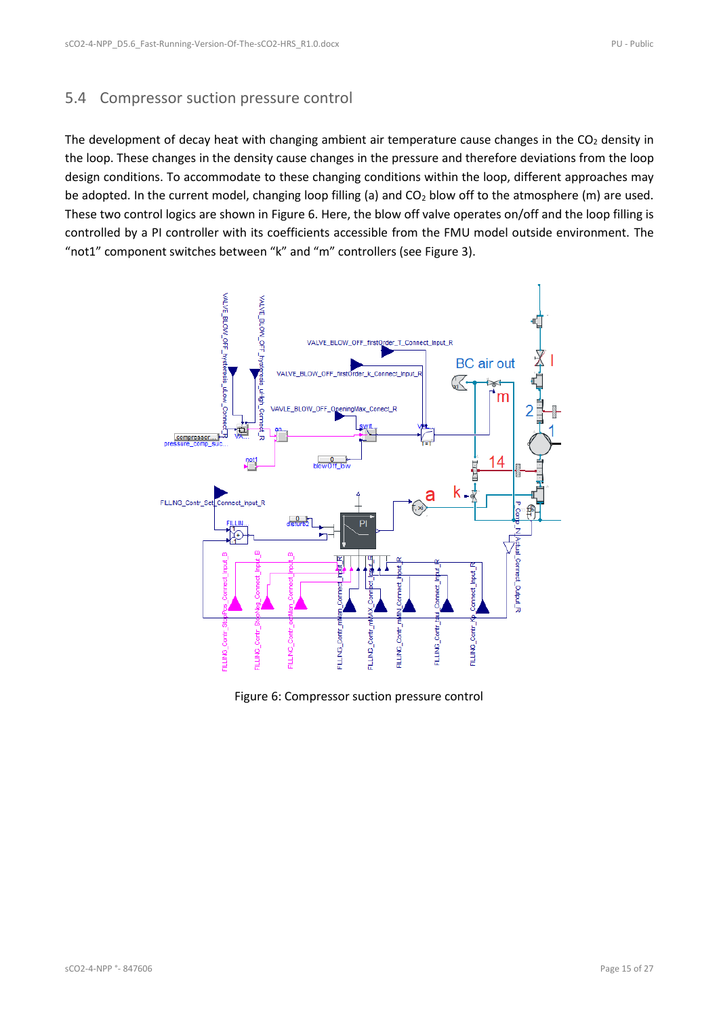### <span id="page-14-0"></span>5.4 Compressor suction pressure control

The development of decay heat with changing ambient air temperature cause changes in the  $CO<sub>2</sub>$  density in the loop. These changes in the density cause changes in the pressure and therefore deviations from the loop design conditions. To accommodate to these changing conditions within the loop, different approaches may be adopted. In the current model, changing loop filling (a) and  $CO<sub>2</sub>$  blow off to the atmosphere (m) are used. These two control logics are shown i[n Figure 6.](#page-14-1) Here, the blow off valve operates on/off and the loop filling is controlled by a PI controller with its coefficients accessible from the FMU model outside environment. The "not1" component switches between "k" and "m" controllers (see [Figure 3\)](#page-11-3).

<span id="page-14-2"></span>

<span id="page-14-1"></span>Figure 6: Compressor suction pressure control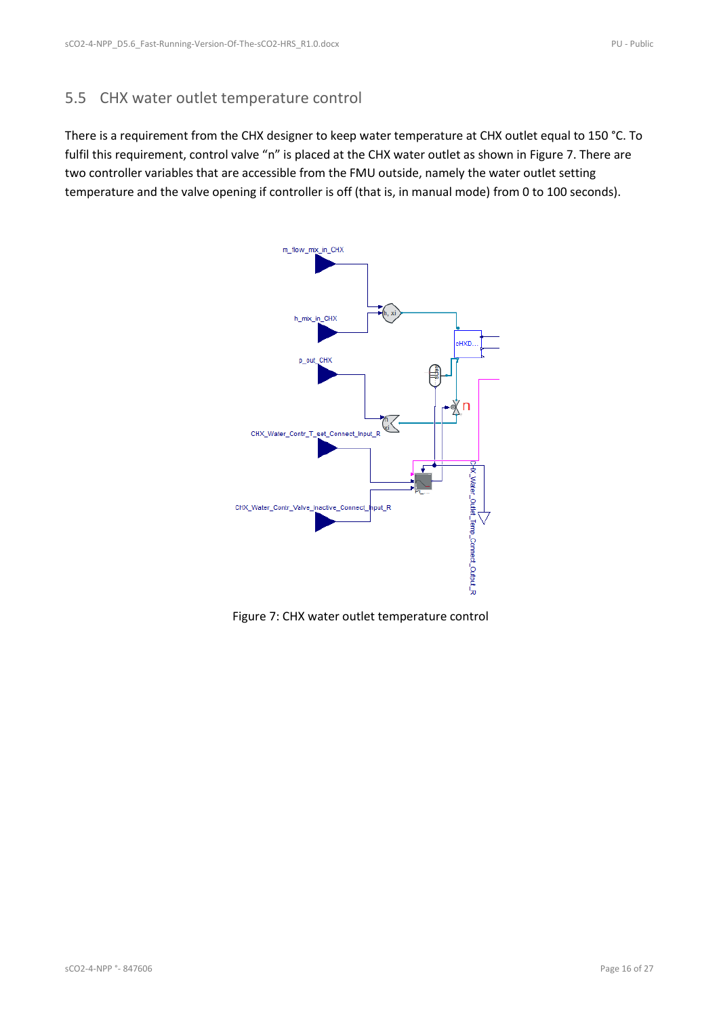#### <span id="page-15-0"></span>5.5 CHX water outlet temperature control

There is a requirement from the CHX designer to keep water temperature at CHX outlet equal to 150 °C. To fulfil this requirement, control valve "n" is placed at the CHX water outlet as shown in [Figure 7.](#page-15-1) There are two controller variables that are accessible from the FMU outside, namely the water outlet setting temperature and the valve opening if controller is off (that is, in manual mode) from 0 to 100 seconds).



<span id="page-15-1"></span>Figure 7: CHX water outlet temperature control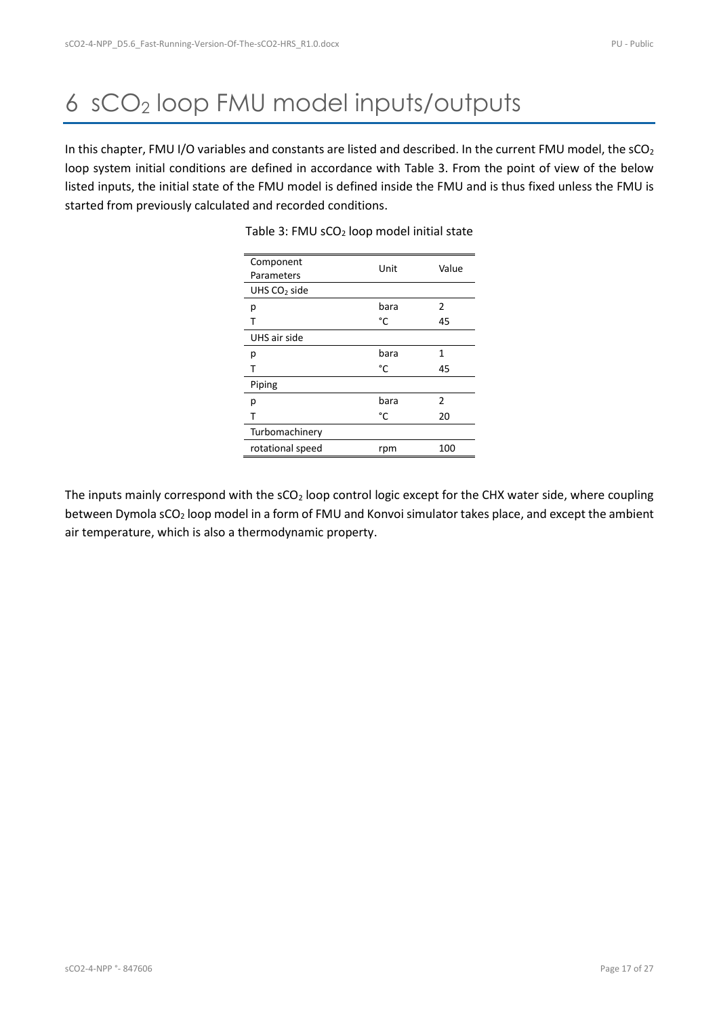# <span id="page-16-0"></span>6 sCO<sup>2</sup> loop FMU model inputs/outputs

<span id="page-16-1"></span>In this chapter, FMU I/O variables and constants are listed and described. In the current FMU model, the sCO<sub>2</sub> loop system initial conditions are defined in accordance with [Table 3.](#page-16-1) From the point of view of the below listed inputs, the initial state of the FMU model is defined inside the FMU and is thus fixed unless the FMU is started from previously calculated and recorded conditions.

| Component        | Unit | Value          |
|------------------|------|----------------|
| Parameters       |      |                |
| UHS $CO2$ side   |      |                |
| р                | bara | 2              |
| т                | °C   | 45             |
| UHS air side     |      |                |
| р                | bara | 1              |
|                  | °C   | 45             |
| Piping           |      |                |
| р                | bara | $\mathfrak{p}$ |
| т                | °C   | 20             |
| Turbomachinery   |      |                |
| rotational speed | rpm  | 100            |

#### Table 3: FMU sCO<sub>2</sub> loop model initial state

The inputs mainly correspond with the  $SCO<sub>2</sub>$  loop control logic except for the CHX water side, where coupling between Dymola sCO<sub>2</sub> loop model in a form of FMU and Konvoi simulator takes place, and except the ambient air temperature, which is also a thermodynamic property.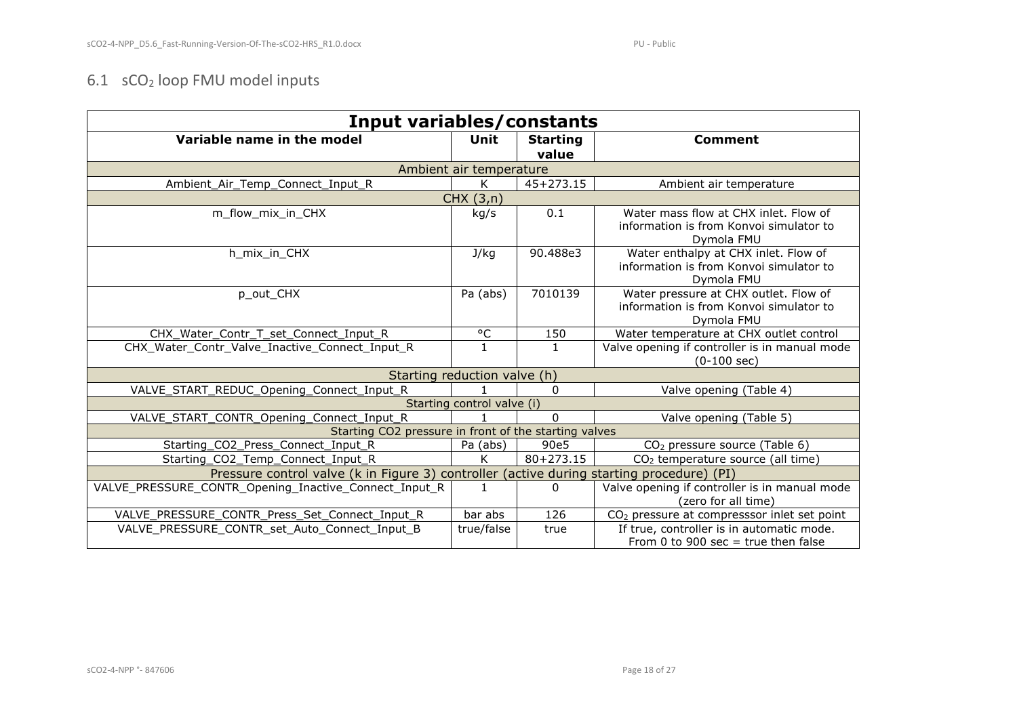### 6.1 sCO<sup>2</sup> loop FMU model inputs

<span id="page-17-0"></span>

| <b>Input variables/constants</b>                                                          |                              |                          |                                                                        |
|-------------------------------------------------------------------------------------------|------------------------------|--------------------------|------------------------------------------------------------------------|
| Variable name in the model                                                                | Unit                         | <b>Starting</b><br>value | <b>Comment</b>                                                         |
|                                                                                           | Ambient air temperature      |                          |                                                                        |
| Ambient_Air_Temp_Connect_Input_R                                                          | K                            | $45+273.15$              | Ambient air temperature                                                |
|                                                                                           | CHX(3,n)                     |                          |                                                                        |
| m flow mix in CHX                                                                         | kg/s                         | 0.1                      | Water mass flow at CHX inlet. Flow of                                  |
|                                                                                           |                              |                          | information is from Konvoi simulator to<br>Dymola FMU                  |
| h mix in CHX                                                                              | J/kg                         | 90.488e3                 | Water enthalpy at CHX inlet. Flow of                                   |
|                                                                                           |                              |                          | information is from Konvoi simulator to<br>Dymola FMU                  |
| p out CHX                                                                                 | Pa (abs)                     | 7010139                  | Water pressure at CHX outlet. Flow of                                  |
|                                                                                           |                              |                          | information is from Konvoi simulator to                                |
|                                                                                           |                              |                          | Dymola FMU                                                             |
| CHX Water Contr T set Connect Input R                                                     | °C                           | 150                      | Water temperature at CHX outlet control                                |
| CHX Water Contr Valve Inactive Connect Input R                                            | $\mathbf{1}$                 | $\mathbf{1}$             | Valve opening if controller is in manual mode<br>$(0-100 \text{ sec})$ |
|                                                                                           | Starting reduction valve (h) |                          |                                                                        |
| VALVE_START_REDUC_Opening_Connect_Input_R                                                 |                              | $\mathbf{0}$             | Valve opening (Table 4)                                                |
|                                                                                           | Starting control valve (i)   |                          |                                                                        |
| VALVE_START_CONTR_Opening_Connect_Input_R                                                 |                              | $\Omega$                 | Valve opening (Table 5)                                                |
| Starting CO2 pressure in front of the starting valves                                     |                              |                          |                                                                        |
| Starting CO2 Press Connect Input R                                                        | Pa (abs)                     | 90e5                     | $CO2$ pressure source (Table 6)                                        |
| Starting_CO2_Temp_Connect_Input_R                                                         | K                            | $80+273.15$              | CO <sub>2</sub> temperature source (all time)                          |
| Pressure control valve (k in Figure 3) controller (active during starting procedure) (PI) |                              |                          |                                                                        |
| VALVE PRESSURE CONTR Opening Inactive Connect Input R                                     | $\mathbf{1}$                 | 0                        | Valve opening if controller is in manual mode                          |
|                                                                                           |                              |                          | (zero for all time)                                                    |
| VALVE PRESSURE CONTR Press Set Connect Input R                                            | bar abs                      | 126                      | CO <sub>2</sub> pressure at compresssor inlet set point                |
| VALVE PRESSURE CONTR set Auto Connect Input B                                             | true/false                   | true                     | If true, controller is in automatic mode.                              |
|                                                                                           |                              |                          | From 0 to 900 sec = true then false                                    |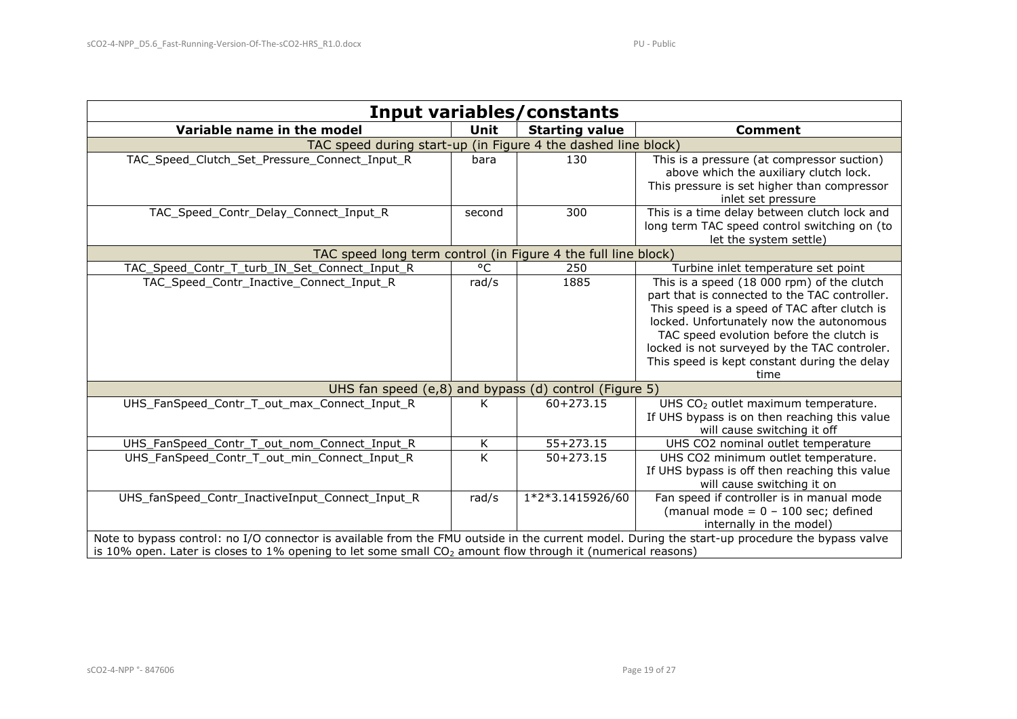| <b>Input variables/constants</b>                                                                                                                                                                                                                                 |                         |                       |                                                                                                                                                                                                                                                                                                                                             |
|------------------------------------------------------------------------------------------------------------------------------------------------------------------------------------------------------------------------------------------------------------------|-------------------------|-----------------------|---------------------------------------------------------------------------------------------------------------------------------------------------------------------------------------------------------------------------------------------------------------------------------------------------------------------------------------------|
| Variable name in the model                                                                                                                                                                                                                                       | Unit                    | <b>Starting value</b> | <b>Comment</b>                                                                                                                                                                                                                                                                                                                              |
| TAC speed during start-up (in Figure 4 the dashed line block)                                                                                                                                                                                                    |                         |                       |                                                                                                                                                                                                                                                                                                                                             |
| TAC Speed Clutch Set Pressure Connect Input R                                                                                                                                                                                                                    | bara                    | 130                   | This is a pressure (at compressor suction)<br>above which the auxiliary clutch lock.<br>This pressure is set higher than compressor<br>inlet set pressure                                                                                                                                                                                   |
| TAC_Speed_Contr_Delay_Connect_Input_R                                                                                                                                                                                                                            | second                  | 300                   | This is a time delay between clutch lock and<br>long term TAC speed control switching on (to<br>let the system settle)                                                                                                                                                                                                                      |
| TAC speed long term control (in Figure 4 the full line block)                                                                                                                                                                                                    |                         |                       |                                                                                                                                                                                                                                                                                                                                             |
| TAC_Speed_Contr_T_turb_IN_Set_Connect_Input_R                                                                                                                                                                                                                    | °C                      | 250                   | Turbine inlet temperature set point                                                                                                                                                                                                                                                                                                         |
| TAC_Speed_Contr_Inactive_Connect_Input_R                                                                                                                                                                                                                         | rad/s                   | 1885                  | This is a speed (18 000 rpm) of the clutch<br>part that is connected to the TAC controller.<br>This speed is a speed of TAC after clutch is<br>locked. Unfortunately now the autonomous<br>TAC speed evolution before the clutch is<br>locked is not surveyed by the TAC controler.<br>This speed is kept constant during the delay<br>time |
| UHS fan speed (e,8) and bypass (d) control (Figure 5)                                                                                                                                                                                                            |                         |                       |                                                                                                                                                                                                                                                                                                                                             |
| UHS FanSpeed Contr T out max Connect Input R                                                                                                                                                                                                                     | K                       | $60 + 273.15$         | UHS CO <sub>2</sub> outlet maximum temperature.<br>If UHS bypass is on then reaching this value<br>will cause switching it off                                                                                                                                                                                                              |
| UHS_FanSpeed_Contr_T_out_nom_Connect_Input_R                                                                                                                                                                                                                     | Κ                       | $55 + 273.15$         | UHS CO2 nominal outlet temperature                                                                                                                                                                                                                                                                                                          |
| UHS FanSpeed Contr T out min Connect Input R                                                                                                                                                                                                                     | $\overline{\mathsf{K}}$ | $50 + 273.15$         | UHS CO2 minimum outlet temperature.<br>If UHS bypass is off then reaching this value<br>will cause switching it on                                                                                                                                                                                                                          |
| UHS_fanSpeed_Contr_InactiveInput_Connect_Input_R                                                                                                                                                                                                                 | rad/s                   | 1*2*3.1415926/60      | Fan speed if controller is in manual mode<br>(manual mode = $0 - 100$ sec; defined<br>internally in the model)                                                                                                                                                                                                                              |
| Note to bypass control: no I/O connector is available from the FMU outside in the current model. During the start-up procedure the bypass valve<br>is 10% open. Later is closes to 1% opening to let some small $CO2$ amount flow through it (numerical reasons) |                         |                       |                                                                                                                                                                                                                                                                                                                                             |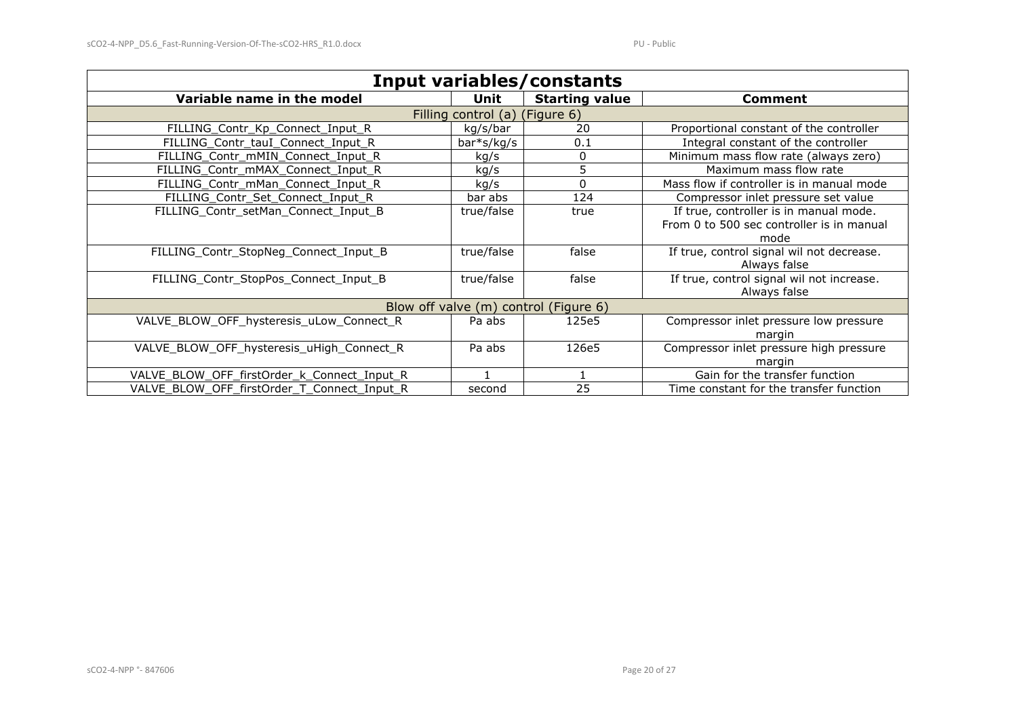| <b>Input variables/constants</b>            |                     |                       |                                                                                             |
|---------------------------------------------|---------------------|-----------------------|---------------------------------------------------------------------------------------------|
| Variable name in the model                  | Unit                | <b>Starting value</b> | <b>Comment</b>                                                                              |
|                                             | Filling control (a) | (Figure 6)            |                                                                                             |
| FILLING_Contr_Kp_Connect_Input_R            | kg/s/bar            | 20                    | Proportional constant of the controller                                                     |
| FILLING Contr tauI Connect Input R          | $bar*s/kg/s$        | 0.1                   | Integral constant of the controller                                                         |
| FILLING Contr mMIN Connect Input R          | kg/s                | 0                     | Minimum mass flow rate (always zero)                                                        |
| FILLING_Contr_mMAX_Connect_Input_R          | kg/s                | 5                     | Maximum mass flow rate                                                                      |
| FILLING Contr mMan Connect Input R          | kg/s                | 0                     | Mass flow if controller is in manual mode                                                   |
| FILLING_Contr_Set_Connect_Input_R           | bar abs             | 124                   | Compressor inlet pressure set value                                                         |
| FILLING_Contr_setMan_Connect_Input_B        | true/false          | true                  | If true, controller is in manual mode.<br>From 0 to 500 sec controller is in manual<br>mode |
| FILLING_Contr_StopNeg_Connect_Input_B       | true/false          | false                 | If true, control signal wil not decrease.<br>Always false                                   |
| FILLING Contr StopPos Connect Input B       | true/false          | false                 | If true, control signal wil not increase.<br>Always false                                   |
| Blow off valve (m) control (Figure 6)       |                     |                       |                                                                                             |
| VALVE_BLOW_OFF_hysteresis_uLow_Connect_R    | Pa abs              | 125e5                 | Compressor inlet pressure low pressure<br>margin                                            |
| VALVE_BLOW_OFF_hysteresis_uHigh_Connect_R   | Pa abs              | 126e5                 | Compressor inlet pressure high pressure<br>margin                                           |
| VALVE BLOW OFF firstOrder k Connect Input R |                     |                       | Gain for the transfer function                                                              |
| VALVE_BLOW_OFF_firstOrder_T_Connect_Input_R | second              | 25                    | Time constant for the transfer function                                                     |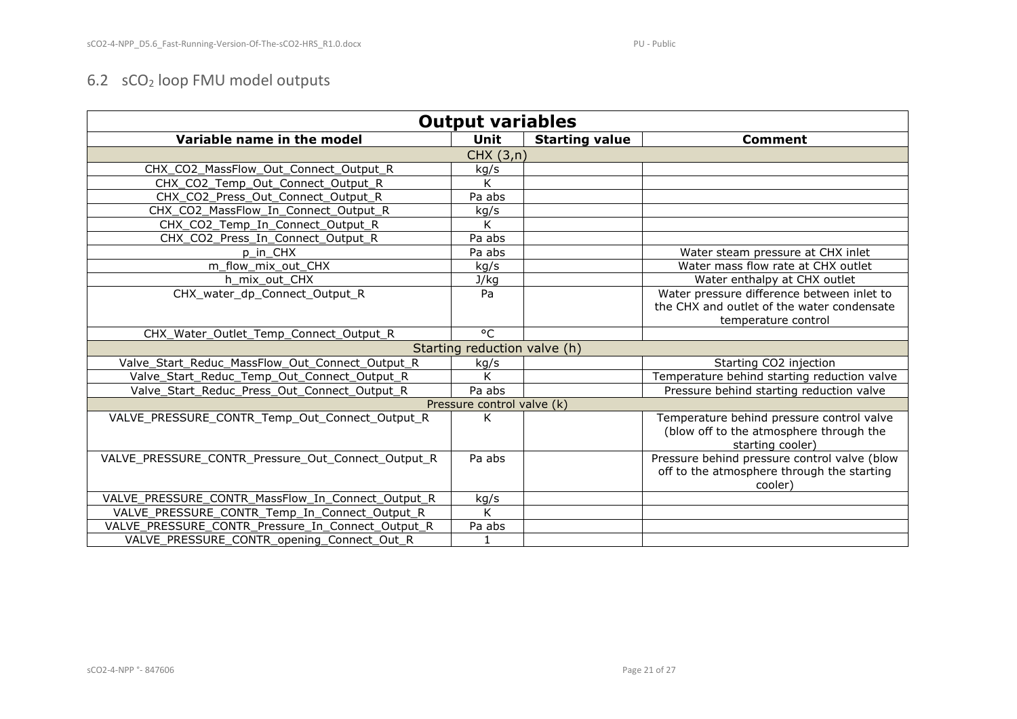### 6.2 sCO<sup>2</sup> loop FMU model outputs

<span id="page-20-0"></span>

| <b>Output variables</b>                            |                              |                       |                                              |
|----------------------------------------------------|------------------------------|-----------------------|----------------------------------------------|
| Variable name in the model                         | <b>Unit</b>                  | <b>Starting value</b> | <b>Comment</b>                               |
|                                                    | CHX(3,n)                     |                       |                                              |
| CHX_CO2_MassFlow_Out_Connect_Output_R              | kg/s                         |                       |                                              |
| CHX CO2 Temp Out Connect Output R                  | K                            |                       |                                              |
| CHX CO2 Press Out Connect Output R                 | Pa abs                       |                       |                                              |
| CHX_CO2_MassFlow_In_Connect_Output_R               | kg/s                         |                       |                                              |
| CHX_CO2_Temp_In_Connect_Output_R                   | K                            |                       |                                              |
| CHX_CO2_Press_In_Connect_Output_R                  | Pa abs                       |                       |                                              |
| p_in_CHX                                           | Pa abs                       |                       | Water steam pressure at CHX inlet            |
| m flow mix out CHX                                 | kg/s                         |                       | Water mass flow rate at CHX outlet           |
| h mix out CHX                                      | J/kg                         |                       | Water enthalpy at CHX outlet                 |
| CHX water dp Connect Output R                      | Pa                           |                       | Water pressure difference between inlet to   |
|                                                    |                              |                       | the CHX and outlet of the water condensate   |
|                                                    |                              |                       | temperature control                          |
| CHX_Water_Outlet_Temp_Connect_Output_R             | °C                           |                       |                                              |
|                                                    | Starting reduction valve (h) |                       |                                              |
| Valve Start Reduc MassFlow Out Connect Output R    | kg/s                         |                       | Starting CO2 injection                       |
| Valve_Start_Reduc_Temp_Out_Connect_Output_R        | K                            |                       | Temperature behind starting reduction valve  |
| Valve_Start_Reduc_Press_Out_Connect_Output_R       | Pa abs                       |                       | Pressure behind starting reduction valve     |
|                                                    | Pressure control valve (k)   |                       |                                              |
| VALVE PRESSURE CONTR Temp Out Connect Output R     | K                            |                       | Temperature behind pressure control valve    |
|                                                    |                              |                       | (blow off to the atmosphere through the      |
|                                                    |                              |                       | starting cooler)                             |
| VALVE PRESSURE CONTR Pressure Out Connect Output R | Pa abs                       |                       | Pressure behind pressure control valve (blow |
|                                                    |                              |                       | off to the atmosphere through the starting   |
|                                                    |                              |                       | cooler)                                      |
| VALVE PRESSURE CONTR MassFlow In Connect Output R  | kg/s                         |                       |                                              |
| VALVE_PRESSURE_CONTR_Temp_In_Connect_Output_R      | K                            |                       |                                              |
| VALVE_PRESSURE_CONTR_Pressure_In_Connect_Output_R  | Pa abs                       |                       |                                              |
| VALVE_PRESSURE_CONTR_opening_Connect_Out_R         | $\mathbf{1}$                 |                       |                                              |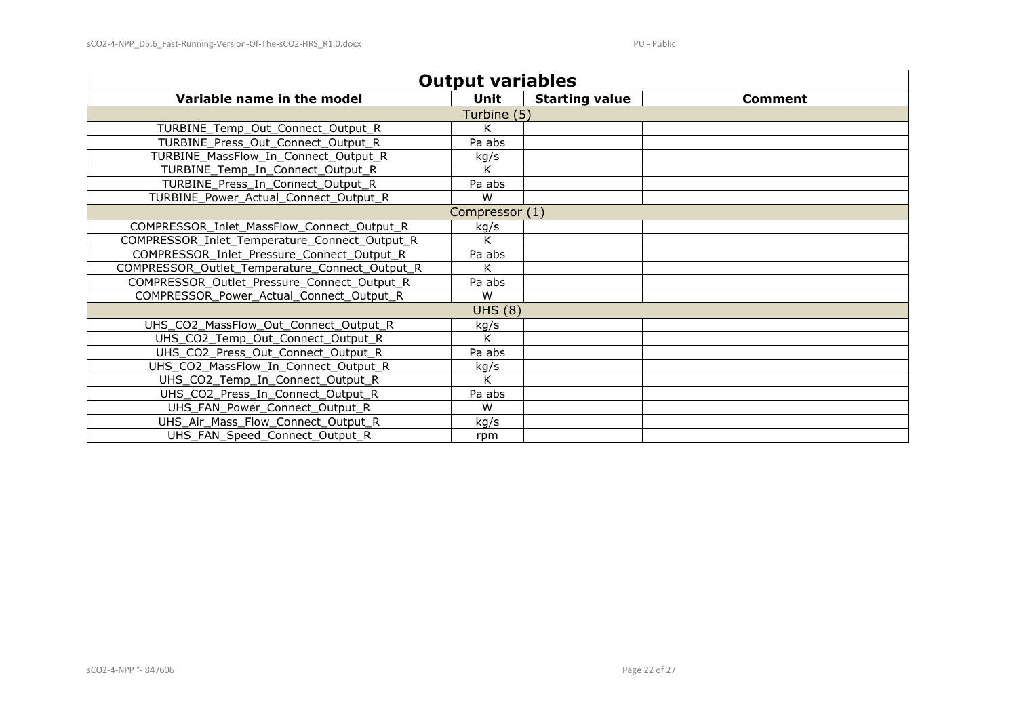| <b>Output variables</b>                        |                |                       |         |
|------------------------------------------------|----------------|-----------------------|---------|
| Variable name in the model                     | <b>Unit</b>    | <b>Starting value</b> | Comment |
|                                                | Turbine (5)    |                       |         |
| TURBINE_Temp_Out_Connect_Output_R              | K              |                       |         |
| TURBINE_Press_Out_Connect_Output_R             | Pa abs         |                       |         |
| TURBINE_MassFlow_In_Connect_Output_R           | kg/s           |                       |         |
| TURBINE_Temp_In_Connect_Output_R               | K              |                       |         |
| TURBINE_Press_In_Connect_Output_R              | Pa abs         |                       |         |
| TURBINE_Power_Actual_Connect_Output_R          | W              |                       |         |
|                                                | Compressor (1) |                       |         |
| COMPRESSOR_Inlet_MassFlow_Connect_Output_R     | kg/s           |                       |         |
| COMPRESSOR_Inlet_Temperature_Connect_Output_R  | K              |                       |         |
| COMPRESSOR_Inlet_Pressure_Connect_Output_R     | Pa abs         |                       |         |
| COMPRESSOR_Outlet_Temperature_Connect_Output_R | K              |                       |         |
| COMPRESSOR_Outlet_Pressure_Connect_Output_R    | Pa abs         |                       |         |
| COMPRESSOR_Power_Actual_Connect_Output_R       | W              |                       |         |
|                                                | <b>UHS (8)</b> |                       |         |
| UHS_CO2_MassFlow_Out_Connect_Output_R          | kg/s           |                       |         |
| UHS_CO2_Temp_Out_Connect_Output_R              | K              |                       |         |
| UHS_CO2_Press_Out_Connect_Output_R             | Pa abs         |                       |         |
| UHS_CO2_MassFlow_In_Connect_Output_R           | kg/s           |                       |         |
| UHS_CO2_Temp_In_Connect_Output_R               | K              |                       |         |
| UHS_CO2_Press_In_Connect_Output_R              | Pa abs         |                       |         |
| UHS_FAN_Power_Connect_Output_R                 | W              |                       |         |
| UHS_Air_Mass_Flow_Connect_Output_R             | kg/s           |                       |         |
| UHS_FAN_Speed_Connect_Output_R                 | rpm            |                       |         |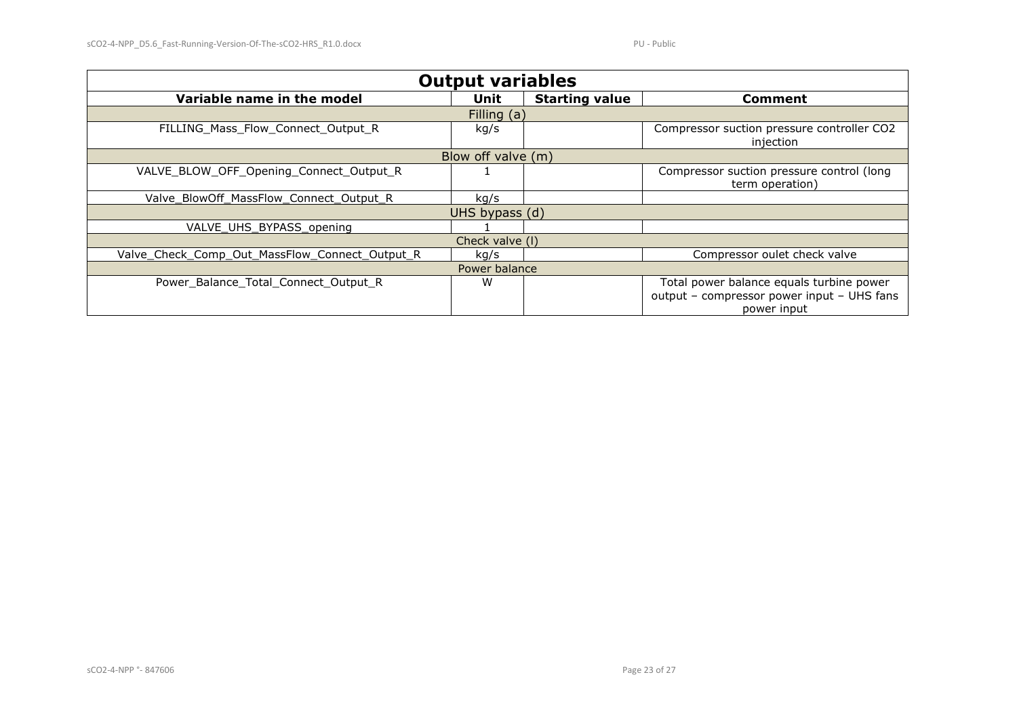| <b>Output variables</b>                        |             |                       |                                                                                                       |
|------------------------------------------------|-------------|-----------------------|-------------------------------------------------------------------------------------------------------|
| Variable name in the model                     | <b>Unit</b> | <b>Starting value</b> | Comment                                                                                               |
|                                                | Filling (a) |                       |                                                                                                       |
| FILLING Mass Flow Connect Output R             | kg/s        |                       | Compressor suction pressure controller CO2<br>injection                                               |
| Blow off valve (m)                             |             |                       |                                                                                                       |
| VALVE_BLOW_OFF_Opening_Connect_Output_R        |             |                       | Compressor suction pressure control (long<br>term operation)                                          |
| Valve BlowOff MassFlow Connect Output R        | kg/s        |                       |                                                                                                       |
| UHS bypass (d)                                 |             |                       |                                                                                                       |
| VALVE UHS BYPASS opening                       |             |                       |                                                                                                       |
| Check valve (I)                                |             |                       |                                                                                                       |
| Valve_Check_Comp_Out_MassFlow_Connect_Output_R | kg/s        |                       | Compressor oulet check valve                                                                          |
| Power balance                                  |             |                       |                                                                                                       |
| Power_Balance_Total_Connect_Output_R           | W           |                       | Total power balance equals turbine power<br>output - compressor power input - UHS fans<br>power input |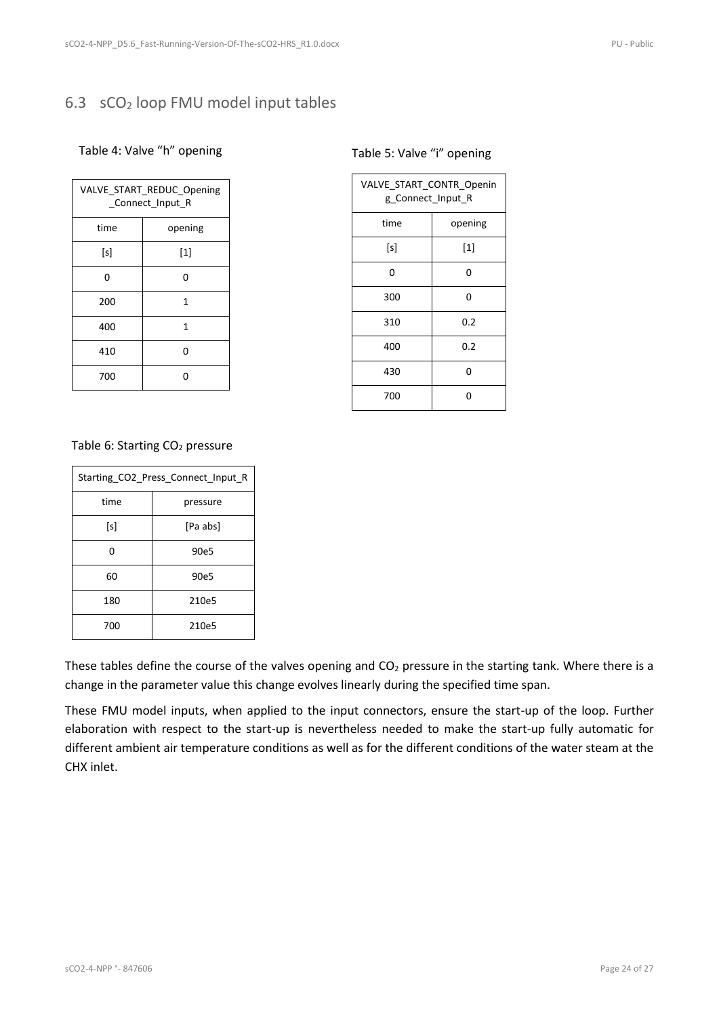### <span id="page-23-4"></span><span id="page-23-0"></span>6.3 sCO<sup>2</sup> loop FMU model input tables

#### <span id="page-23-6"></span><span id="page-23-1"></span>Table 4: Valve "h" opening

| VALVE_START_REDUC_Opening<br>Connect Input R |       |
|----------------------------------------------|-------|
| time<br>opening                              |       |
| [s]                                          | $[1]$ |
| 0                                            | 0     |
| 200                                          | 1     |
| 400                                          | 1     |
| 410                                          | U     |
| 700                                          | በ     |

#### <span id="page-23-5"></span><span id="page-23-2"></span>Table 5: Valve "i" opening

| VALVE_START_CONTR_Openin<br>g_Connect_Input_R |                                                                                                                                                                                                            |  |
|-----------------------------------------------|------------------------------------------------------------------------------------------------------------------------------------------------------------------------------------------------------------|--|
| time                                          | opening                                                                                                                                                                                                    |  |
| [s]                                           | $[1] % \includegraphics[width=0.9\columnwidth]{figures/fig_10.pdf} \caption{The figure shows the number of times on the left and right. The left is the number of times on the right.} \label{fig:time} %$ |  |
| 0                                             | 0                                                                                                                                                                                                          |  |
| 300                                           | 0                                                                                                                                                                                                          |  |
| 310                                           | 0.2                                                                                                                                                                                                        |  |
| 400                                           | 0.2                                                                                                                                                                                                        |  |
| 430                                           | 0                                                                                                                                                                                                          |  |
| 700                                           | n                                                                                                                                                                                                          |  |

#### <span id="page-23-3"></span>Table 6: Starting CO<sub>2</sub> pressure

| Starting_CO2_Press_Connect_Input_R |          |  |
|------------------------------------|----------|--|
| time                               | pressure |  |
| [s]                                | [Pa abs] |  |
| ი                                  | 90e5     |  |
| 60                                 | 90e5     |  |
| 180                                | 210e5    |  |
| 700                                | 210e5    |  |

These tables define the course of the valves opening and  $CO<sub>2</sub>$  pressure in the starting tank. Where there is a change in the parameter value this change evolves linearly during the specified time span.

These FMU model inputs, when applied to the input connectors, ensure the start-up of the loop. Further elaboration with respect to the start-up is nevertheless needed to make the start-up fully automatic for different ambient air temperature conditions as well as for the different conditions of the water steam at the CHX inlet.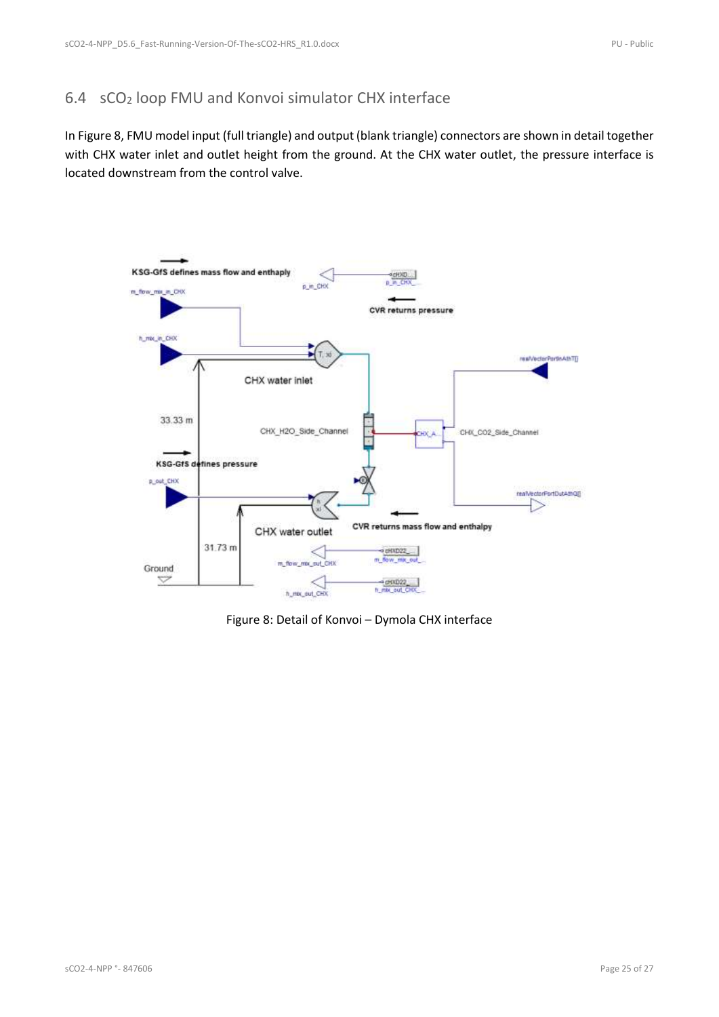### <span id="page-24-0"></span>6.4 sCO<sup>2</sup> loop FMU and Konvoi simulator CHX interface

In [Figure 8,](#page-24-1) FMU model input (full triangle) and output (blank triangle) connectors are shown in detail together with CHX water inlet and outlet height from the ground. At the CHX water outlet, the pressure interface is located downstream from the control valve.



<span id="page-24-1"></span>Figure 8: Detail of Konvoi – Dymola CHX interface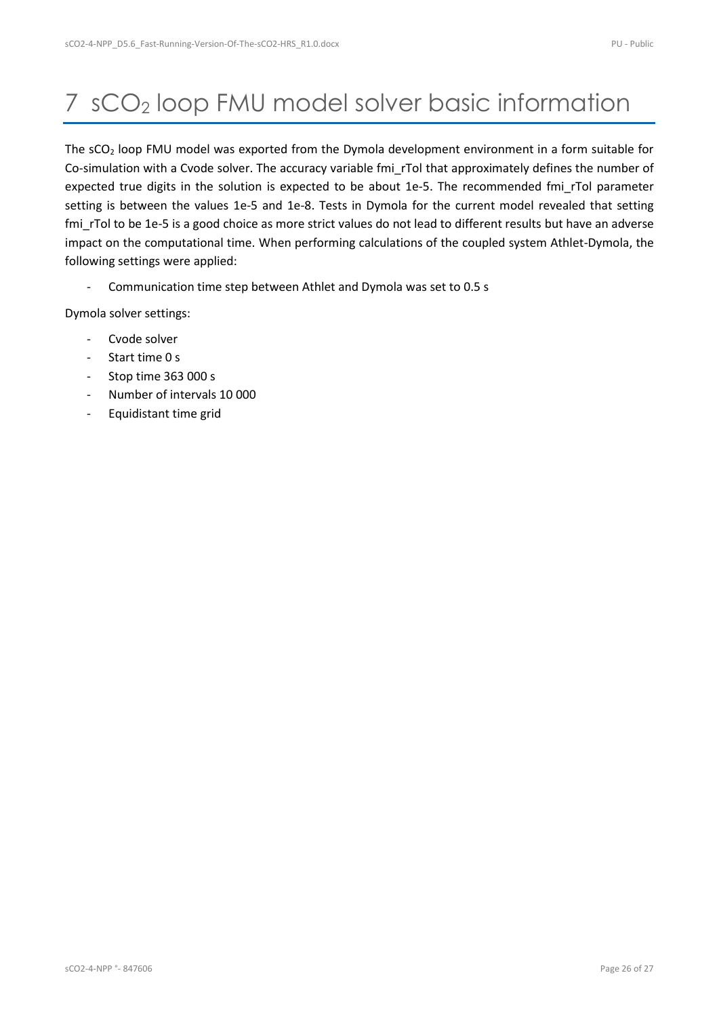# <span id="page-25-0"></span>7 sCO<sup>2</sup> loop FMU model solver basic information

The sCO<sub>2</sub> loop FMU model was exported from the Dymola development environment in a form suitable for Co-simulation with a Cvode solver. The accuracy variable fmi\_rTol that approximately defines the number of expected true digits in the solution is expected to be about 1e-5. The recommended fmi\_rTol parameter setting is between the values 1e-5 and 1e-8. Tests in Dymola for the current model revealed that setting fmi rTol to be 1e-5 is a good choice as more strict values do not lead to different results but have an adverse impact on the computational time. When performing calculations of the coupled system Athlet-Dymola, the following settings were applied:

- Communication time step between Athlet and Dymola was set to 0.5 s

Dymola solver settings:

- Cvode solver
- Start time 0 s
- Stop time 363 000 s
- Number of intervals 10 000
- Equidistant time grid